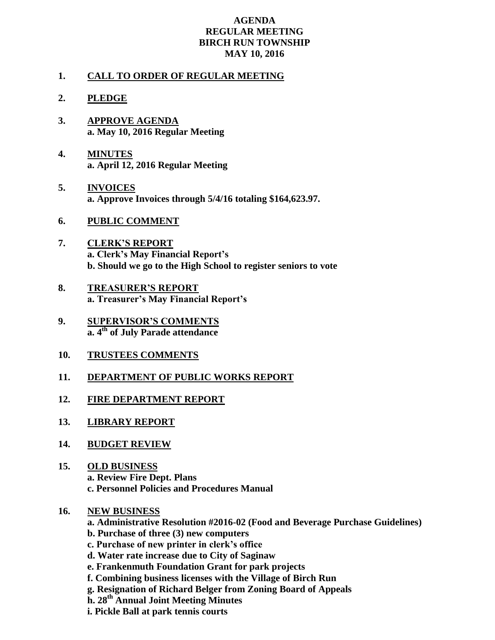## **AGENDA REGULAR MEETING BIRCH RUN TOWNSHIP MAY 10, 2016**

## **1. CALL TO ORDER OF REGULAR MEETING**

- **2. PLEDGE**
- **3. APPROVE AGENDA a. May 10, 2016 Regular Meeting**
- **4. MINUTES a. April 12, 2016 Regular Meeting**
- **5. INVOICES a. Approve Invoices through 5/4/16 totaling \$164,623.97.**
- **6. PUBLIC COMMENT**
- **7. CLERK'S REPORT a. Clerk's May Financial Report's b. Should we go to the High School to register seniors to vote**
- **8. TREASURER'S REPORT a. Treasurer's May Financial Report's**
- **9. SUPERVISOR'S COMMENTS a. 4th of July Parade attendance**
- **10. TRUSTEES COMMENTS**
- **11. DEPARTMENT OF PUBLIC WORKS REPORT**
- **12. FIRE DEPARTMENT REPORT**
- **13. LIBRARY REPORT**
- **14. BUDGET REVIEW**
- **15. OLD BUSINESS a. Review Fire Dept. Plans c. Personnel Policies and Procedures Manual**
- **16. NEW BUSINESS**
	- **a. Administrative Resolution #2016-02 (Food and Beverage Purchase Guidelines)**
	- **b. Purchase of three (3) new computers**
	- **c. Purchase of new printer in clerk's office**
	- **d. Water rate increase due to City of Saginaw**
	- **e. Frankenmuth Foundation Grant for park projects**
	- **f. Combining business licenses with the Village of Birch Run**
	- **g. Resignation of Richard Belger from Zoning Board of Appeals**
	- **h. 28th Annual Joint Meeting Minutes**
	- **i. Pickle Ball at park tennis courts**